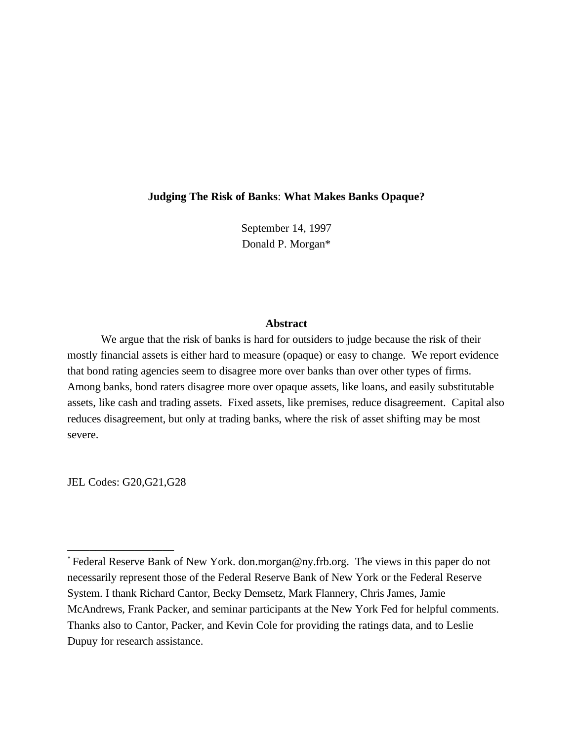## **Judging The Risk of Banks**: **What Makes Banks Opaque?**

September 14, 1997 Donald P. Morgan\*

## **Abstract**

We argue that the risk of banks is hard for outsiders to judge because the risk of their mostly financial assets is either hard to measure (opaque) or easy to change. We report evidence that bond rating agencies seem to disagree more over banks than over other types of firms. Among banks, bond raters disagree more over opaque assets, like loans, and easily substitutable assets, like cash and trading assets. Fixed assets, like premises, reduce disagreement. Capital also reduces disagreement, but only at trading banks, where the risk of asset shifting may be most severe.

JEL Codes: G20,G21,G28

\_\_\_\_\_\_\_\_\_\_\_\_\_\_\_\_\_\_\_

Federal Reserve Bank of New York. don.morgan@ny.frb.org. The views in this paper do not \* necessarily represent those of the Federal Reserve Bank of New York or the Federal Reserve System. I thank Richard Cantor, Becky Demsetz, Mark Flannery, Chris James, Jamie McAndrews, Frank Packer, and seminar participants at the New York Fed for helpful comments. Thanks also to Cantor, Packer, and Kevin Cole for providing the ratings data, and to Leslie Dupuy for research assistance.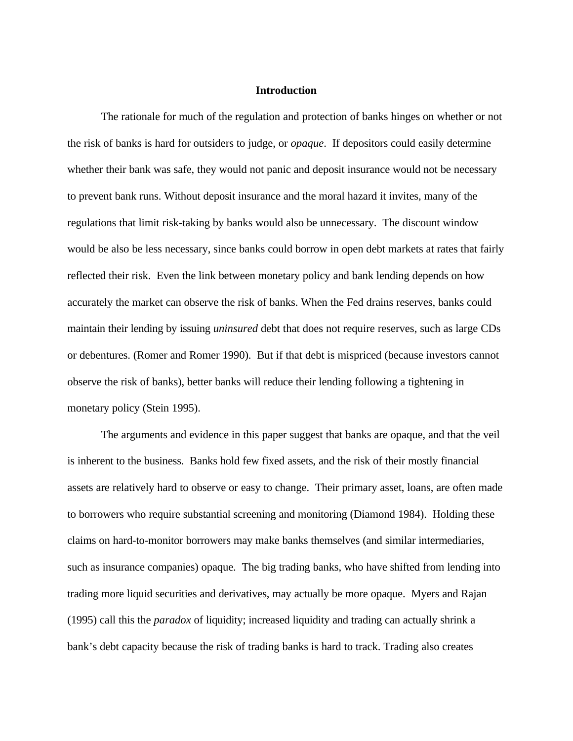### **Introduction**

The rationale for much of the regulation and protection of banks hinges on whether or not the risk of banks is hard for outsiders to judge, or *opaque*. If depositors could easily determine whether their bank was safe, they would not panic and deposit insurance would not be necessary to prevent bank runs. Without deposit insurance and the moral hazard it invites, many of the regulations that limit risk-taking by banks would also be unnecessary. The discount window would be also be less necessary, since banks could borrow in open debt markets at rates that fairly reflected their risk. Even the link between monetary policy and bank lending depends on how accurately the market can observe the risk of banks. When the Fed drains reserves, banks could maintain their lending by issuing *uninsured* debt that does not require reserves, such as large CDs or debentures. (Romer and Romer 1990). But if that debt is mispriced (because investors cannot observe the risk of banks), better banks will reduce their lending following a tightening in monetary policy (Stein 1995).

The arguments and evidence in this paper suggest that banks are opaque, and that the veil is inherent to the business. Banks hold few fixed assets, and the risk of their mostly financial assets are relatively hard to observe or easy to change. Their primary asset, loans, are often made to borrowers who require substantial screening and monitoring (Diamond 1984). Holding these claims on hard-to-monitor borrowers may make banks themselves (and similar intermediaries, such as insurance companies) opaque. The big trading banks, who have shifted from lending into trading more liquid securities and derivatives, may actually be more opaque. Myers and Rajan (1995) call this the *paradox* of liquidity; increased liquidity and trading can actually shrink a bank's debt capacity because the risk of trading banks is hard to track. Trading also creates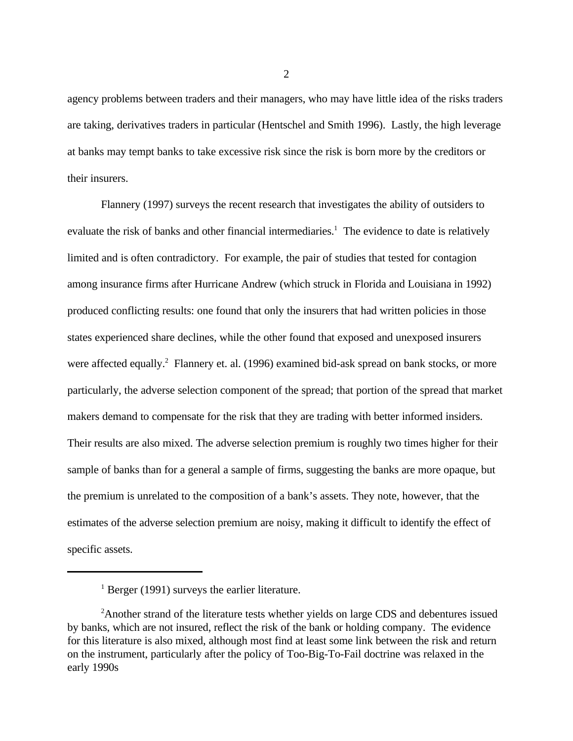agency problems between traders and their managers, who may have little idea of the risks traders are taking, derivatives traders in particular (Hentschel and Smith 1996). Lastly, the high leverage at banks may tempt banks to take excessive risk since the risk is born more by the creditors or their insurers.

Flannery (1997) surveys the recent research that investigates the ability of outsiders to evaluate the risk of banks and other financial intermediaries.<sup>1</sup> The evidence to date is relatively limited and is often contradictory. For example, the pair of studies that tested for contagion among insurance firms after Hurricane Andrew (which struck in Florida and Louisiana in 1992) produced conflicting results: one found that only the insurers that had written policies in those states experienced share declines, while the other found that exposed and unexposed insurers were affected equally.<sup>2</sup> Flannery et. al. (1996) examined bid-ask spread on bank stocks, or more particularly, the adverse selection component of the spread; that portion of the spread that market makers demand to compensate for the risk that they are trading with better informed insiders. Their results are also mixed. The adverse selection premium is roughly two times higher for their sample of banks than for a general a sample of firms, suggesting the banks are more opaque, but the premium is unrelated to the composition of a bank's assets. They note, however, that the estimates of the adverse selection premium are noisy, making it difficult to identify the effect of specific assets.

 $<sup>1</sup>$  Berger (1991) surveys the earlier literature.</sup>

<sup>&</sup>lt;sup>2</sup> Another strand of the literature tests whether yields on large CDS and debentures issued by banks, which are not insured, reflect the risk of the bank or holding company. The evidence for this literature is also mixed, although most find at least some link between the risk and return on the instrument, particularly after the policy of Too-Big-To-Fail doctrine was relaxed in the early 1990s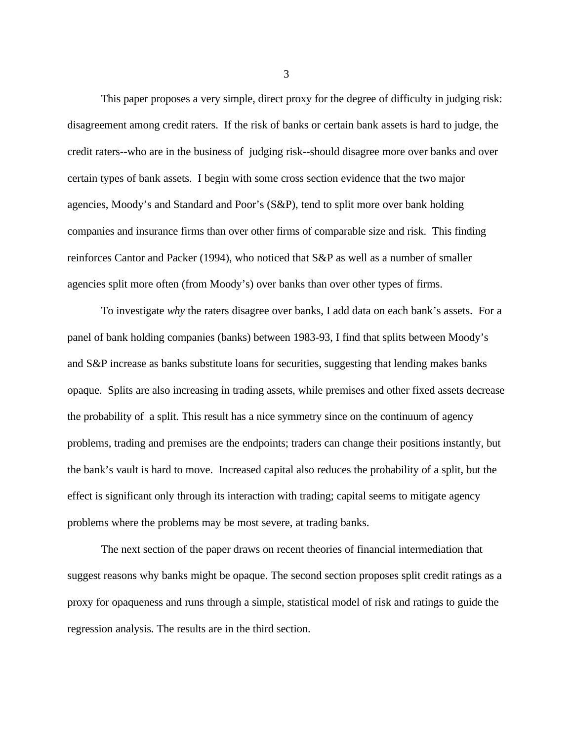This paper proposes a very simple, direct proxy for the degree of difficulty in judging risk: disagreement among credit raters. If the risk of banks or certain bank assets is hard to judge, the credit raters--who are in the business of judging risk--should disagree more over banks and over certain types of bank assets. I begin with some cross section evidence that the two major agencies, Moody's and Standard and Poor's (S&P), tend to split more over bank holding companies and insurance firms than over other firms of comparable size and risk. This finding reinforces Cantor and Packer (1994), who noticed that S&P as well as a number of smaller agencies split more often (from Moody's) over banks than over other types of firms.

To investigate *why* the raters disagree over banks, I add data on each bank's assets. For a panel of bank holding companies (banks) between 1983-93, I find that splits between Moody's and S&P increase as banks substitute loans for securities, suggesting that lending makes banks opaque. Splits are also increasing in trading assets, while premises and other fixed assets decrease the probability of a split. This result has a nice symmetry since on the continuum of agency problems, trading and premises are the endpoints; traders can change their positions instantly, but the bank's vault is hard to move. Increased capital also reduces the probability of a split, but the effect is significant only through its interaction with trading; capital seems to mitigate agency problems where the problems may be most severe, at trading banks.

The next section of the paper draws on recent theories of financial intermediation that suggest reasons why banks might be opaque. The second section proposes split credit ratings as a proxy for opaqueness and runs through a simple, statistical model of risk and ratings to guide the regression analysis. The results are in the third section.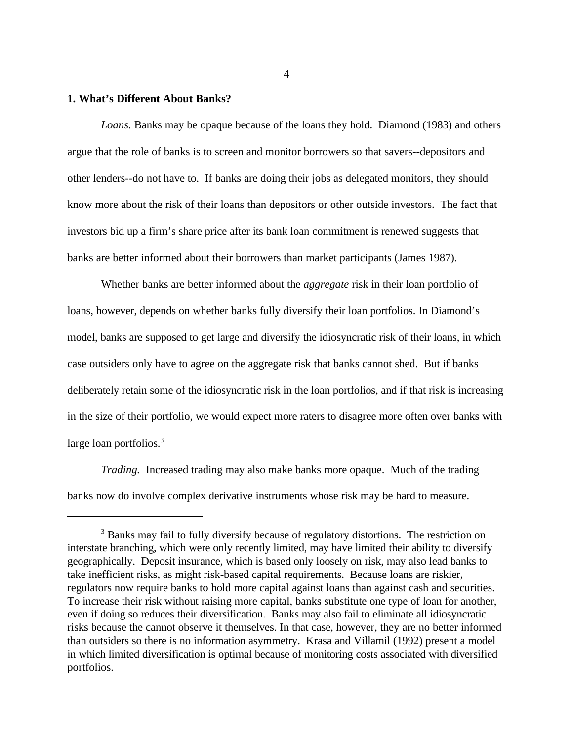### **1. What's Different About Banks?**

*Loans.* Banks may be opaque because of the loans they hold. Diamond (1983) and others argue that the role of banks is to screen and monitor borrowers so that savers--depositors and other lenders--do not have to. If banks are doing their jobs as delegated monitors, they should know more about the risk of their loans than depositors or other outside investors. The fact that investors bid up a firm's share price after its bank loan commitment is renewed suggests that banks are better informed about their borrowers than market participants (James 1987).

Whether banks are better informed about the *aggregate* risk in their loan portfolio of loans, however, depends on whether banks fully diversify their loan portfolios. In Diamond's model, banks are supposed to get large and diversify the idiosyncratic risk of their loans, in which case outsiders only have to agree on the aggregate risk that banks cannot shed. But if banks deliberately retain some of the idiosyncratic risk in the loan portfolios, and if that risk is increasing in the size of their portfolio, we would expect more raters to disagree more often over banks with large loan portfolios.<sup>3</sup>

*Trading.* Increased trading may also make banks more opaque. Much of the trading banks now do involve complex derivative instruments whose risk may be hard to measure.

<sup>&</sup>lt;sup>3</sup> Banks may fail to fully diversify because of regulatory distortions. The restriction on interstate branching, which were only recently limited, may have limited their ability to diversify geographically. Deposit insurance, which is based only loosely on risk, may also lead banks to take inefficient risks, as might risk-based capital requirements. Because loans are riskier, regulators now require banks to hold more capital against loans than against cash and securities. To increase their risk without raising more capital, banks substitute one type of loan for another, even if doing so reduces their diversification. Banks may also fail to eliminate all idiosyncratic risks because the cannot observe it themselves. In that case, however, they are no better informed than outsiders so there is no information asymmetry. Krasa and Villamil (1992) present a model in which limited diversification is optimal because of monitoring costs associated with diversified portfolios.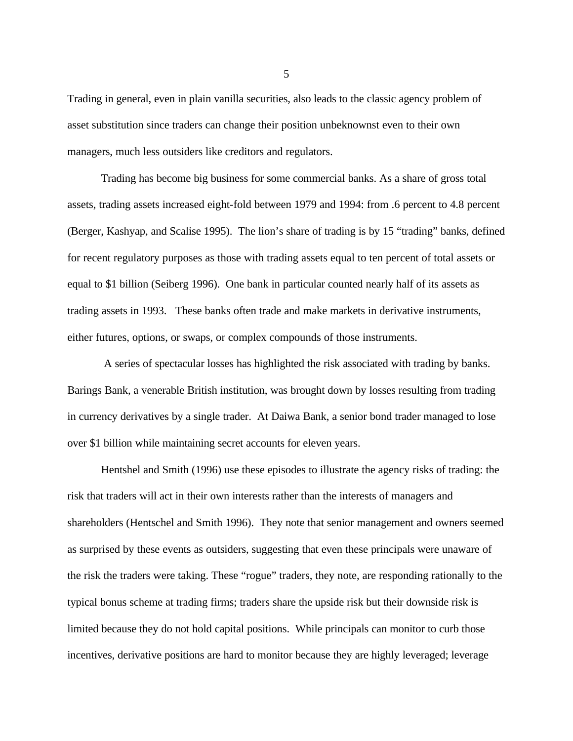Trading in general, even in plain vanilla securities, also leads to the classic agency problem of asset substitution since traders can change their position unbeknownst even to their own managers, much less outsiders like creditors and regulators.

Trading has become big business for some commercial banks. As a share of gross total assets, trading assets increased eight-fold between 1979 and 1994: from .6 percent to 4.8 percent (Berger, Kashyap, and Scalise 1995). The lion's share of trading is by 15 "trading" banks, defined for recent regulatory purposes as those with trading assets equal to ten percent of total assets or equal to \$1 billion (Seiberg 1996). One bank in particular counted nearly half of its assets as trading assets in 1993. These banks often trade and make markets in derivative instruments, either futures, options, or swaps, or complex compounds of those instruments.

 A series of spectacular losses has highlighted the risk associated with trading by banks. Barings Bank, a venerable British institution, was brought down by losses resulting from trading in currency derivatives by a single trader. At Daiwa Bank, a senior bond trader managed to lose over \$1 billion while maintaining secret accounts for eleven years.

Hentshel and Smith (1996) use these episodes to illustrate the agency risks of trading: the risk that traders will act in their own interests rather than the interests of managers and shareholders (Hentschel and Smith 1996). They note that senior management and owners seemed as surprised by these events as outsiders, suggesting that even these principals were unaware of the risk the traders were taking. These "rogue" traders, they note, are responding rationally to the typical bonus scheme at trading firms; traders share the upside risk but their downside risk is limited because they do not hold capital positions. While principals can monitor to curb those incentives, derivative positions are hard to monitor because they are highly leveraged; leverage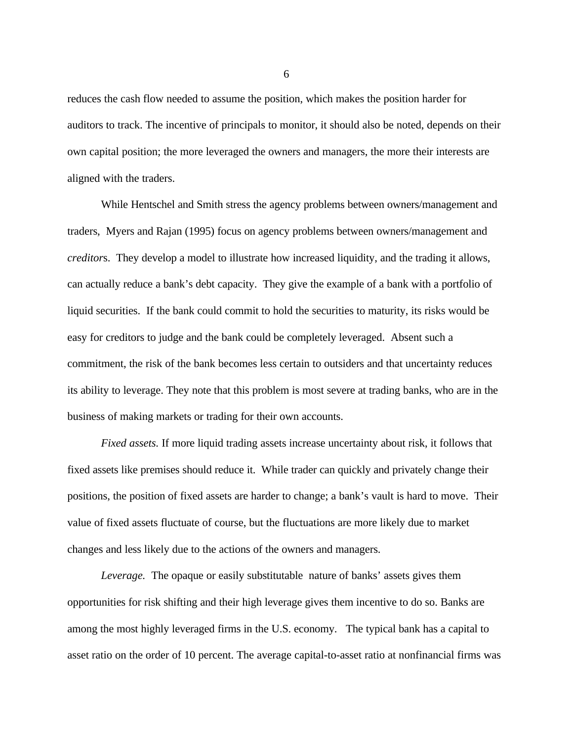reduces the cash flow needed to assume the position, which makes the position harder for auditors to track. The incentive of principals to monitor, it should also be noted, depends on their own capital position; the more leveraged the owners and managers, the more their interests are aligned with the traders.

While Hentschel and Smith stress the agency problems between owners/management and traders, Myers and Rajan (1995) focus on agency problems between owners/management and *creditor*s. They develop a model to illustrate how increased liquidity, and the trading it allows, can actually reduce a bank's debt capacity. They give the example of a bank with a portfolio of liquid securities. If the bank could commit to hold the securities to maturity, its risks would be easy for creditors to judge and the bank could be completely leveraged. Absent such a commitment, the risk of the bank becomes less certain to outsiders and that uncertainty reduces its ability to leverage. They note that this problem is most severe at trading banks, who are in the business of making markets or trading for their own accounts.

*Fixed assets.* If more liquid trading assets increase uncertainty about risk, it follows that fixed assets like premises should reduce it. While trader can quickly and privately change their positions, the position of fixed assets are harder to change; a bank's vault is hard to move. Their value of fixed assets fluctuate of course, but the fluctuations are more likely due to market changes and less likely due to the actions of the owners and managers.

*Leverage.* The opaque or easily substitutable nature of banks' assets gives them opportunities for risk shifting and their high leverage gives them incentive to do so. Banks are among the most highly leveraged firms in the U.S. economy. The typical bank has a capital to asset ratio on the order of 10 percent. The average capital-to-asset ratio at nonfinancial firms was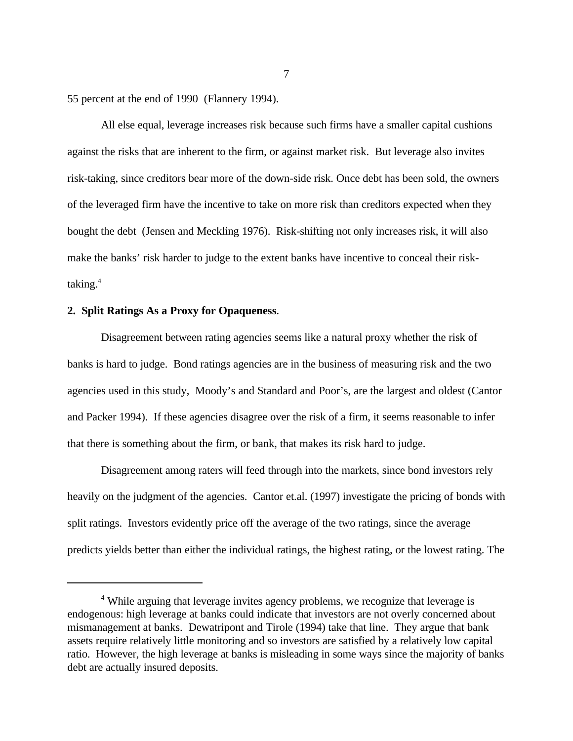55 percent at the end of 1990 (Flannery 1994).

All else equal, leverage increases risk because such firms have a smaller capital cushions against the risks that are inherent to the firm, or against market risk. But leverage also invites risk-taking, since creditors bear more of the down-side risk. Once debt has been sold, the owners of the leveraged firm have the incentive to take on more risk than creditors expected when they bought the debt (Jensen and Meckling 1976). Risk-shifting not only increases risk, it will also make the banks' risk harder to judge to the extent banks have incentive to conceal their risktaking.<sup>4</sup>

## **2. Split Ratings As a Proxy for Opaqueness**.

Disagreement between rating agencies seems like a natural proxy whether the risk of banks is hard to judge. Bond ratings agencies are in the business of measuring risk and the two agencies used in this study, Moody's and Standard and Poor's, are the largest and oldest (Cantor and Packer 1994). If these agencies disagree over the risk of a firm, it seems reasonable to infer that there is something about the firm, or bank, that makes its risk hard to judge.

Disagreement among raters will feed through into the markets, since bond investors rely heavily on the judgment of the agencies. Cantor et.al. (1997) investigate the pricing of bonds with split ratings. Investors evidently price off the average of the two ratings, since the average predicts yields better than either the individual ratings, the highest rating, or the lowest rating. The

<sup>&</sup>lt;sup>4</sup> While arguing that leverage invites agency problems, we recognize that leverage is endogenous: high leverage at banks could indicate that investors are not overly concerned about mismanagement at banks. Dewatripont and Tirole (1994) take that line. They argue that bank assets require relatively little monitoring and so investors are satisfied by a relatively low capital ratio. However, the high leverage at banks is misleading in some ways since the majority of banks debt are actually insured deposits.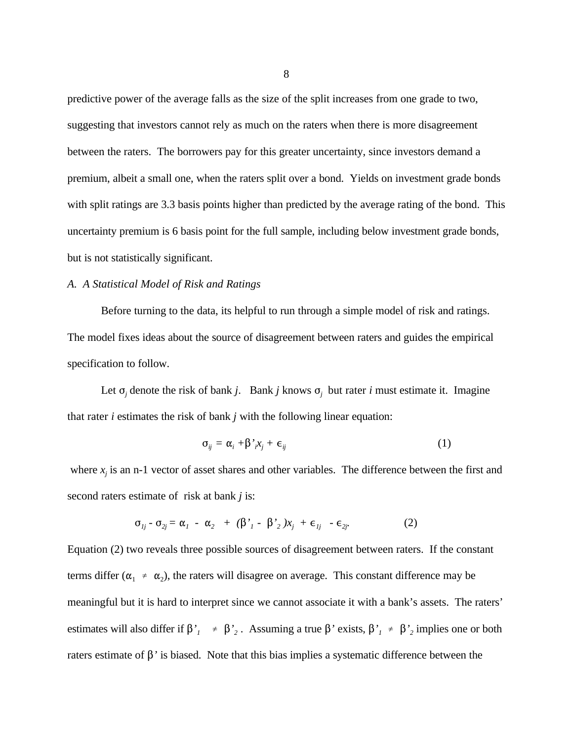predictive power of the average falls as the size of the split increases from one grade to two, suggesting that investors cannot rely as much on the raters when there is more disagreement between the raters. The borrowers pay for this greater uncertainty, since investors demand a premium, albeit a small one, when the raters split over a bond. Yields on investment grade bonds with split ratings are 3.3 basis points higher than predicted by the average rating of the bond. This uncertainty premium is 6 basis point for the full sample, including below investment grade bonds, but is not statistically significant.

### *A. A Statistical Model of Risk and Ratings*

Before turning to the data, its helpful to run through a simple model of risk and ratings. The model fixes ideas about the source of disagreement between raters and guides the empirical specification to follow.

Let  $\sigma_j$  denote the risk of bank *j*. Bank *j* knows  $\sigma_j$  but rater *i* must estimate it. Imagine that rater *i* estimates the risk of bank *j* with the following linear equation:

$$
\sigma_{ij} = \alpha_i + \beta'_{i} x_j + \epsilon_{ij} \tag{1}
$$

where  $x_j$  is an n-1 vector of asset shares and other variables. The difference between the first and second raters estimate of risk at bank *j* is:

$$
\sigma_{1j} - \sigma_{2j} = \alpha_1 - \alpha_2 + (\beta'_1 - \beta'_2)x_j + \epsilon_{1j} - \epsilon_{2j} \tag{2}
$$

Equation (2) two reveals three possible sources of disagreement between raters. If the constant terms differ ( $\alpha_1 \neq \alpha_2$ ), the raters will disagree on average. This constant difference may be meaningful but it is hard to interpret since we cannot associate it with a bank's assets. The raters' estimates will also differ if  $\beta'_{1} \neq \beta'_{2}$ . Assuming a true  $\beta'$  exists,  $\beta'_{1} \neq \beta'_{2}$  implies one or both raters estimate of  $\beta$ <sup>'</sup> is biased. Note that this bias implies a systematic difference between the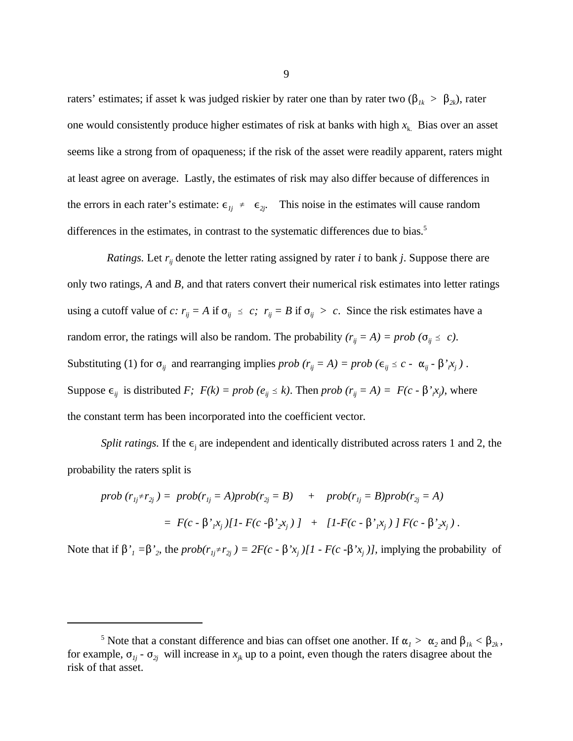raters' estimates; if asset k was judged riskier by rater one than by rater two ( $\beta_{1k} > \beta_{2k}$ ), rater one would consistently produce higher estimates of risk at banks with high  $x_k$ . Bias over an asset seems like a strong from of opaqueness; if the risk of the asset were readily apparent, raters might at least agree on average. Lastly, the estimates of risk may also differ because of differences in the errors in each rater's estimate:  $\epsilon_{ij} \neq \epsilon_{2i}$ . This noise in the estimates will cause random differences in the estimates, in contrast to the systematic differences due to bias.<sup>5</sup>

*Ratings.* Let  $r_i$  denote the letter rating assigned by rater *i* to bank *j*. Suppose there are only two ratings, *A* and *B,* and that raters convert their numerical risk estimates into letter ratings using a cutoff value of *c*:  $r_{ij} = A$  if  $\sigma_{ij} \le c$ ;  $r_{ij} = B$  if  $\sigma_{ij} > c$ . Since the risk estimates have a random error, the ratings will also be random. The probability  $(r_{ij} = A) = prob (\sigma_{ij} \le c)$ . Substituting (1) for  $\sigma_{ij}$  and rearranging implies *prob*  $(r_{ij} = A) = prob \left(\epsilon_{ij} \le c - \alpha_{ij} - \beta'_{i}x_{j}\right)$ . Suppose  $\epsilon_{ij}$  is distributed *F*;  $F(k) = prob (e_{ij} \le k)$ . Then *prob*  $(r_{ij} = A) = F(c - \beta'_{i}x_{j})$ , where the constant term has been incorporated into the coefficient vector*.*

*Split ratings.* If the  $\epsilon_i$  are independent and identically distributed across raters 1 and 2, the probability the raters split is

$$
prob (r_{1j} \neq r_{2j}) = prob(r_{1j} = A) prob(r_{2j} = B) + prob(r_{1j} = B) prob(r_{2j} = A)
$$
  
=  $F(c - \beta'_{1} x_{j}) [1 - F(c - \beta'_{2} x_{j})] + [1 - F(c - \beta'_{1} x_{j})] F(c - \beta'_{2} x_{j}).$ 

Note that if  $\beta'_1 = \beta'_2$ , the  $prob(r_{1i} \neq r_{2i}) = 2F(c - \beta' x_i)[1 - F(c - \beta' x_i)]$ , implying the probability of

<sup>&</sup>lt;sup>5</sup> Note that a constant difference and bias can offset one another. If  $\alpha_1 > \alpha_2$  and  $\beta_{1k} < \beta_{2k}$ , for example,  $\sigma_{1j}$  -  $\sigma_{2j}$  will increase in  $x_{jk}$  up to a point, even though the raters disagree about the risk of that asset.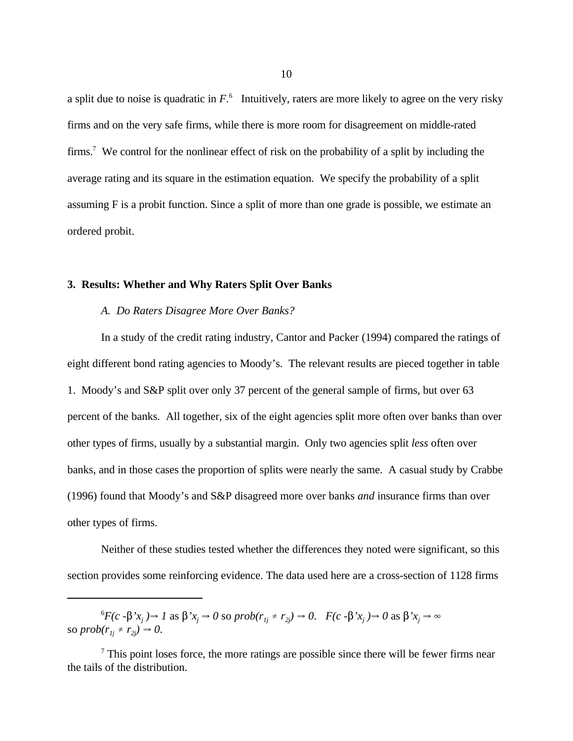a split due to noise is quadratic in  $F<sup>6</sup>$ . Intuitively, raters are more likely to agree on the very risky firms and on the very safe firms, while there is more room for disagreement on middle-rated firms.<sup>7</sup> We control for the nonlinear effect of risk on the probability of a split by including the average rating and its square in the estimation equation. We specify the probability of a split assuming F is a probit function. Since a split of more than one grade is possible, we estimate an ordered probit.

## **3. Results: Whether and Why Raters Split Over Banks**

#### *A. Do Raters Disagree More Over Banks?*

In a study of the credit rating industry, Cantor and Packer (1994) compared the ratings of eight different bond rating agencies to Moody's. The relevant results are pieced together in table 1. Moody's and S&P split over only 37 percent of the general sample of firms, but over 63 percent of the banks. All together, six of the eight agencies split more often over banks than over other types of firms, usually by a substantial margin. Only two agencies split *less* often over banks, and in those cases the proportion of splits were nearly the same. A casual study by Crabbe (1996) found that Moody's and S&P disagreed more over banks *and* insurance firms than over other types of firms.

Neither of these studies tested whether the differences they noted were significant, so this section provides some reinforcing evidence. The data used here are a cross-section of 1128 firms

 ${}^6F(c - \beta' x_j) \rightarrow 1$  as  $\beta' x_j \rightarrow 0$  so  $prob(r_{1j} \neq r_{2j}) \rightarrow 0$ .  $F(c - \beta' x_j) \rightarrow 0$  as  $\beta' x_j \rightarrow \infty$ so  $prob(r_{1i} \neq r_{2i}) \rightarrow 0$ .

 $\frac{7}{7}$  This point loses force, the more ratings are possible since there will be fewer firms near the tails of the distribution.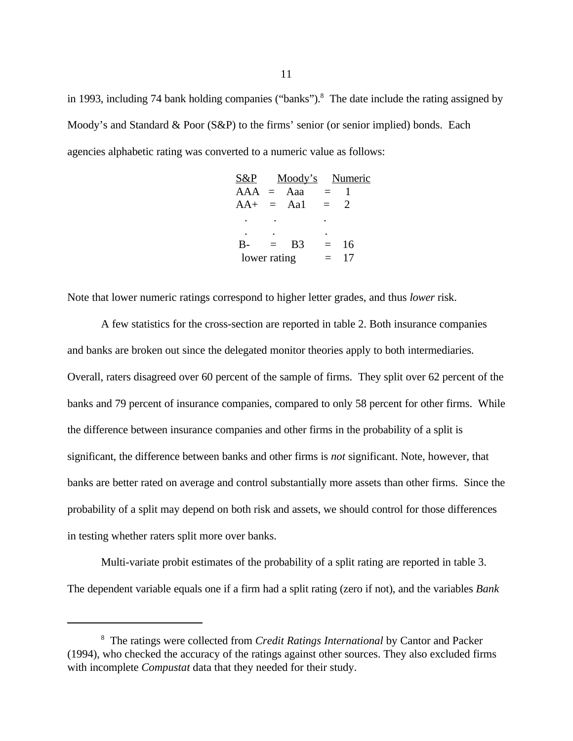in 1993, including 74 bank holding companies ("banks").<sup>8</sup> The date include the rating assigned by Moody's and Standard & Poor (S&P) to the firms' senior (or senior implied) bonds. Each agencies alphabetic rating was converted to a numeric value as follows:

| S&P |                |                                    |    |                 |
|-----|----------------|------------------------------------|----|-----------------|
|     |                | $=$                                |    |                 |
|     |                | $=$                                | 2  |                 |
|     |                |                                    |    |                 |
|     |                |                                    |    |                 |
| $=$ | B <sub>3</sub> | $=$                                | 16 |                 |
|     |                | $=$                                | 17 |                 |
|     |                | $=$ Aaa<br>$=$ Aa1<br>lower rating |    | Moody's Numeric |

Note that lower numeric ratings correspond to higher letter grades, and thus *lower* risk.

A few statistics for the cross-section are reported in table 2. Both insurance companies and banks are broken out since the delegated monitor theories apply to both intermediaries. Overall, raters disagreed over 60 percent of the sample of firms. They split over 62 percent of the banks and 79 percent of insurance companies, compared to only 58 percent for other firms. While the difference between insurance companies and other firms in the probability of a split is significant, the difference between banks and other firms is *not* significant. Note, however, that banks are better rated on average and control substantially more assets than other firms. Since the probability of a split may depend on both risk and assets, we should control for those differences in testing whether raters split more over banks.

Multi-variate probit estimates of the probability of a split rating are reported in table 3. The dependent variable equals one if a firm had a split rating (zero if not), and the variables *Bank*

The ratings were collected from *Credit Ratings International* by Cantor and Packer <sup>8</sup> (1994), who checked the accuracy of the ratings against other sources. They also excluded firms with incomplete *Compustat* data that they needed for their study.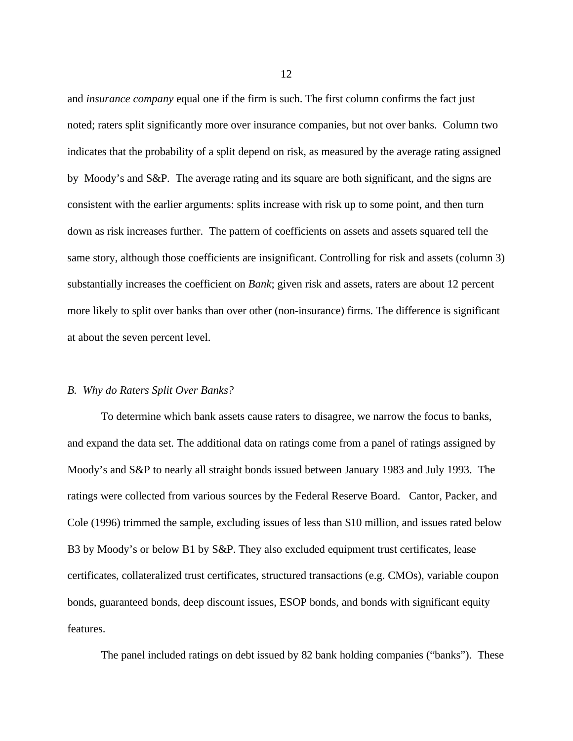and *insurance company* equal one if the firm is such. The first column confirms the fact just noted; raters split significantly more over insurance companies, but not over banks. Column two indicates that the probability of a split depend on risk, as measured by the average rating assigned by Moody's and S&P. The average rating and its square are both significant, and the signs are consistent with the earlier arguments: splits increase with risk up to some point, and then turn down as risk increases further. The pattern of coefficients on assets and assets squared tell the same story, although those coefficients are insignificant. Controlling for risk and assets (column 3) substantially increases the coefficient on *Bank*; given risk and assets, raters are about 12 percent more likely to split over banks than over other (non-insurance) firms. The difference is significant at about the seven percent level.

#### *B. Why do Raters Split Over Banks?*

To determine which bank assets cause raters to disagree, we narrow the focus to banks, and expand the data set. The additional data on ratings come from a panel of ratings assigned by Moody's and S&P to nearly all straight bonds issued between January 1983 and July 1993. The ratings were collected from various sources by the Federal Reserve Board. Cantor, Packer, and Cole (1996) trimmed the sample, excluding issues of less than \$10 million, and issues rated below B3 by Moody's or below B1 by S&P. They also excluded equipment trust certificates, lease certificates, collateralized trust certificates, structured transactions (e.g. CMOs), variable coupon bonds, guaranteed bonds, deep discount issues, ESOP bonds, and bonds with significant equity features.

The panel included ratings on debt issued by 82 bank holding companies ("banks"). These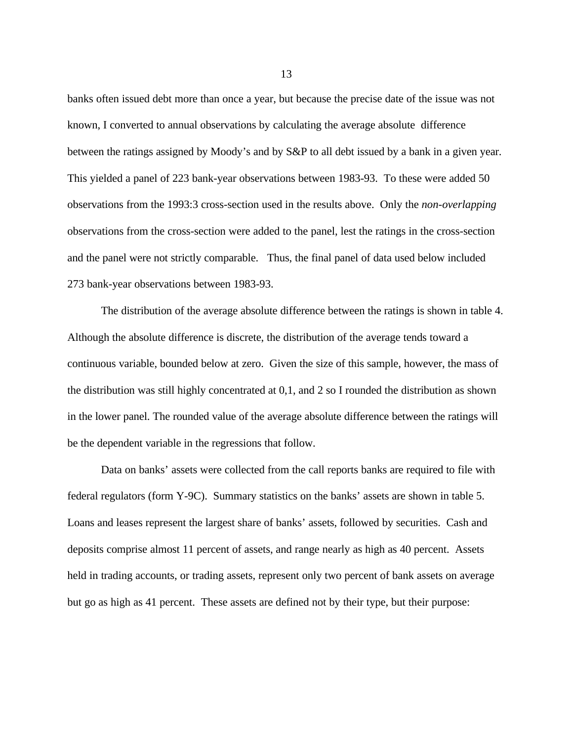banks often issued debt more than once a year, but because the precise date of the issue was not known, I converted to annual observations by calculating the average absolute difference between the ratings assigned by Moody's and by S&P to all debt issued by a bank in a given year. This yielded a panel of 223 bank-year observations between 1983-93. To these were added 50 observations from the 1993:3 cross-section used in the results above. Only the *non-overlapping* observations from the cross-section were added to the panel, lest the ratings in the cross-section and the panel were not strictly comparable. Thus, the final panel of data used below included 273 bank-year observations between 1983-93.

The distribution of the average absolute difference between the ratings is shown in table 4. Although the absolute difference is discrete, the distribution of the average tends toward a continuous variable, bounded below at zero. Given the size of this sample, however, the mass of the distribution was still highly concentrated at 0,1, and 2 so I rounded the distribution as shown in the lower panel. The rounded value of the average absolute difference between the ratings will be the dependent variable in the regressions that follow.

Data on banks' assets were collected from the call reports banks are required to file with federal regulators (form Y-9C). Summary statistics on the banks' assets are shown in table 5. Loans and leases represent the largest share of banks' assets, followed by securities. Cash and deposits comprise almost 11 percent of assets, and range nearly as high as 40 percent. Assets held in trading accounts, or trading assets, represent only two percent of bank assets on average but go as high as 41 percent. These assets are defined not by their type, but their purpose: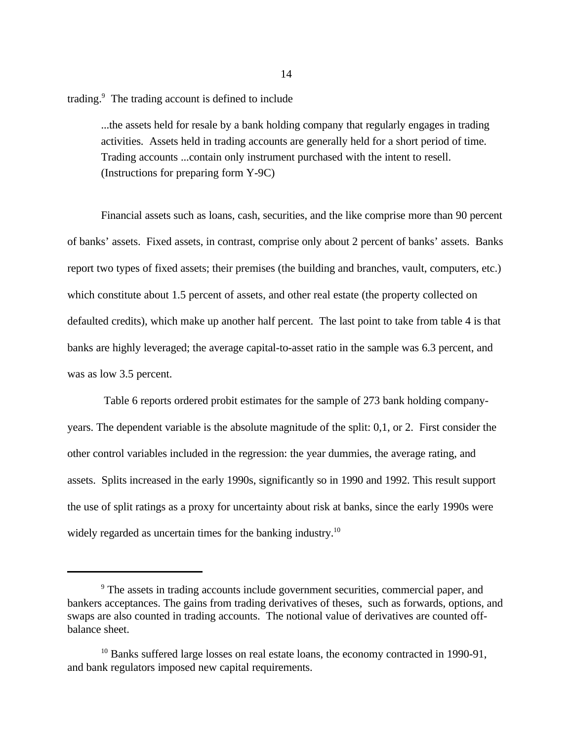trading. $9$  The trading account is defined to include

...the assets held for resale by a bank holding company that regularly engages in trading activities. Assets held in trading accounts are generally held for a short period of time. Trading accounts ...contain only instrument purchased with the intent to resell. (Instructions for preparing form Y-9C)

Financial assets such as loans, cash, securities, and the like comprise more than 90 percent of banks' assets. Fixed assets, in contrast, comprise only about 2 percent of banks' assets. Banks report two types of fixed assets; their premises (the building and branches, vault, computers, etc.) which constitute about 1.5 percent of assets, and other real estate (the property collected on defaulted credits), which make up another half percent. The last point to take from table 4 is that banks are highly leveraged; the average capital-to-asset ratio in the sample was 6.3 percent, and was as low 3.5 percent.

 Table 6 reports ordered probit estimates for the sample of 273 bank holding companyyears. The dependent variable is the absolute magnitude of the split: 0,1, or 2. First consider the other control variables included in the regression: the year dummies, the average rating, and assets. Splits increased in the early 1990s, significantly so in 1990 and 1992. This result support the use of split ratings as a proxy for uncertainty about risk at banks, since the early 1990s were widely regarded as uncertain times for the banking industry.<sup>10</sup>

<sup>&</sup>lt;sup>9</sup> The assets in trading accounts include government securities, commercial paper, and bankers acceptances. The gains from trading derivatives of theses, such as forwards, options, and swaps are also counted in trading accounts. The notional value of derivatives are counted offbalance sheet.

 $10$  Banks suffered large losses on real estate loans, the economy contracted in 1990-91, and bank regulators imposed new capital requirements.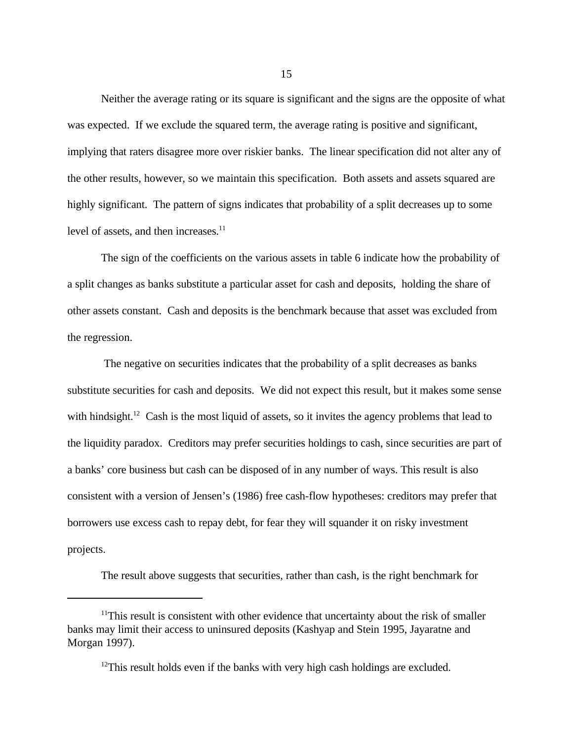Neither the average rating or its square is significant and the signs are the opposite of what was expected. If we exclude the squared term, the average rating is positive and significant, implying that raters disagree more over riskier banks. The linear specification did not alter any of the other results, however, so we maintain this specification. Both assets and assets squared are highly significant. The pattern of signs indicates that probability of a split decreases up to some level of assets, and then increases.<sup>11</sup>

The sign of the coefficients on the various assets in table 6 indicate how the probability of a split changes as banks substitute a particular asset for cash and deposits, holding the share of other assets constant. Cash and deposits is the benchmark because that asset was excluded from the regression.

 The negative on securities indicates that the probability of a split decreases as banks substitute securities for cash and deposits. We did not expect this result, but it makes some sense with hindsight.<sup>12</sup> Cash is the most liquid of assets, so it invites the agency problems that lead to the liquidity paradox. Creditors may prefer securities holdings to cash, since securities are part of a banks' core business but cash can be disposed of in any number of ways. This result is also consistent with a version of Jensen's (1986) free cash-flow hypotheses: creditors may prefer that borrowers use excess cash to repay debt, for fear they will squander it on risky investment projects.

The result above suggests that securities, rather than cash, is the right benchmark for

 $11$ This result is consistent with other evidence that uncertainty about the risk of smaller banks may limit their access to uninsured deposits (Kashyap and Stein 1995, Jayaratne and Morgan 1997).

 $12$ This result holds even if the banks with very high cash holdings are excluded.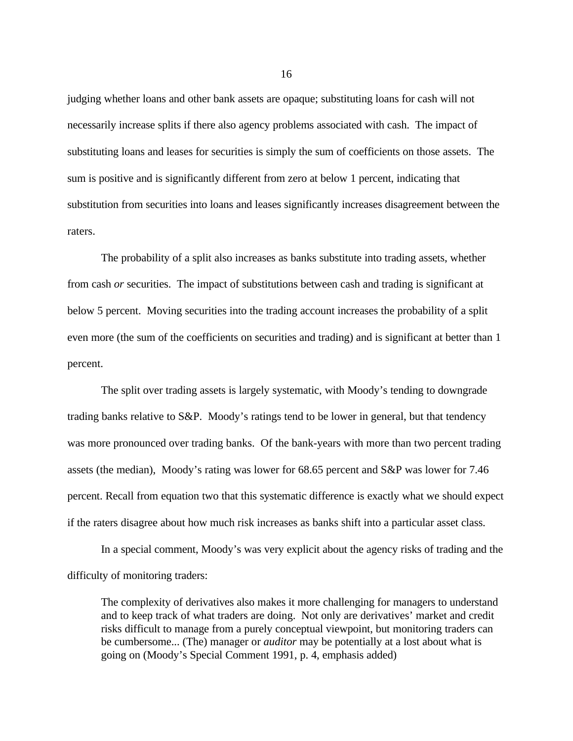judging whether loans and other bank assets are opaque; substituting loans for cash will not necessarily increase splits if there also agency problems associated with cash. The impact of substituting loans and leases for securities is simply the sum of coefficients on those assets. The sum is positive and is significantly different from zero at below 1 percent, indicating that substitution from securities into loans and leases significantly increases disagreement between the raters.

The probability of a split also increases as banks substitute into trading assets, whether from cash *or* securities. The impact of substitutions between cash and trading is significant at below 5 percent. Moving securities into the trading account increases the probability of a split even more (the sum of the coefficients on securities and trading) and is significant at better than 1 percent.

The split over trading assets is largely systematic, with Moody's tending to downgrade trading banks relative to S&P. Moody's ratings tend to be lower in general, but that tendency was more pronounced over trading banks. Of the bank-years with more than two percent trading assets (the median), Moody's rating was lower for 68.65 percent and S&P was lower for 7.46 percent. Recall from equation two that this systematic difference is exactly what we should expect if the raters disagree about how much risk increases as banks shift into a particular asset class.

In a special comment, Moody's was very explicit about the agency risks of trading and the difficulty of monitoring traders:

The complexity of derivatives also makes it more challenging for managers to understand and to keep track of what traders are doing. Not only are derivatives' market and credit risks difficult to manage from a purely conceptual viewpoint, but monitoring traders can be cumbersome... (The) manager or *auditor* may be potentially at a lost about what is going on (Moody's Special Comment 1991, p. 4, emphasis added)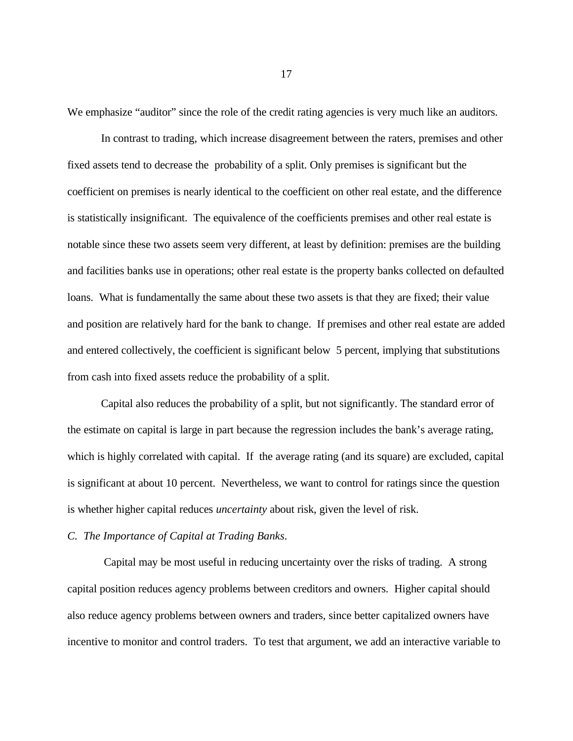We emphasize "auditor" since the role of the credit rating agencies is very much like an auditors.

In contrast to trading, which increase disagreement between the raters, premises and other fixed assets tend to decrease the probability of a split. Only premises is significant but the coefficient on premises is nearly identical to the coefficient on other real estate, and the difference is statistically insignificant. The equivalence of the coefficients premises and other real estate is notable since these two assets seem very different, at least by definition: premises are the building and facilities banks use in operations; other real estate is the property banks collected on defaulted loans. What is fundamentally the same about these two assets is that they are fixed; their value and position are relatively hard for the bank to change. If premises and other real estate are added and entered collectively, the coefficient is significant below 5 percent, implying that substitutions from cash into fixed assets reduce the probability of a split.

Capital also reduces the probability of a split, but not significantly. The standard error of the estimate on capital is large in part because the regression includes the bank's average rating, which is highly correlated with capital. If the average rating (and its square) are excluded, capital is significant at about 10 percent. Nevertheless, we want to control for ratings since the question is whether higher capital reduces *uncertainty* about risk, given the level of risk.

### *C. The Importance of Capital at Trading Banks*.

 Capital may be most useful in reducing uncertainty over the risks of trading. A strong capital position reduces agency problems between creditors and owners. Higher capital should also reduce agency problems between owners and traders, since better capitalized owners have incentive to monitor and control traders. To test that argument, we add an interactive variable to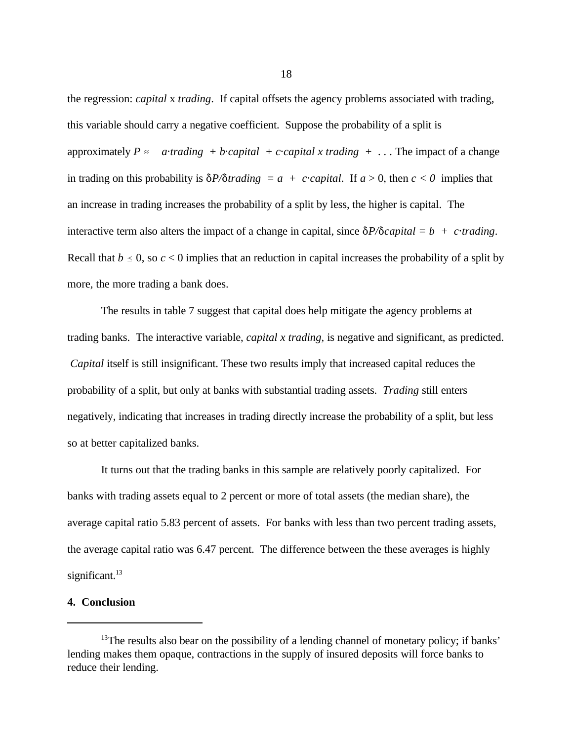the regression: *capital* x *trading*. If capital offsets the agency problems associated with trading, this variable should carry a negative coefficient. Suppose the probability of a split is approximately  $P \approx$  *atrading* + *bcapital* + *ccapital x trading* + ... The impact of a change in trading on this probability is  $\delta P/\delta$ *trading* = *a* + *c*·*capital*. If *a* > 0, then *c* < 0 implies that an increase in trading increases the probability of a split by less, the higher is capital. The interactive term also alters the impact of a change in capital, since  $\delta P/\delta capital = b + c\cdot trading$ . Recall that  $b \le 0$ , so  $c < 0$  implies that an reduction in capital increases the probability of a split by more, the more trading a bank does.

The results in table 7 suggest that capital does help mitigate the agency problems at trading banks. The interactive variable, *capital x trading,* is negative and significant, as predicted. *Capital* itself is still insignificant. These two results imply that increased capital reduces the probability of a split, but only at banks with substantial trading assets. *Trading* still enters negatively, indicating that increases in trading directly increase the probability of a split, but less so at better capitalized banks.

It turns out that the trading banks in this sample are relatively poorly capitalized. For banks with trading assets equal to 2 percent or more of total assets (the median share), the average capital ratio 5.83 percent of assets. For banks with less than two percent trading assets, the average capital ratio was 6.47 percent. The difference between the these averages is highly significant.<sup>13</sup>

### **4. Conclusion**

 $13$ The results also bear on the possibility of a lending channel of monetary policy; if banks' lending makes them opaque, contractions in the supply of insured deposits will force banks to reduce their lending.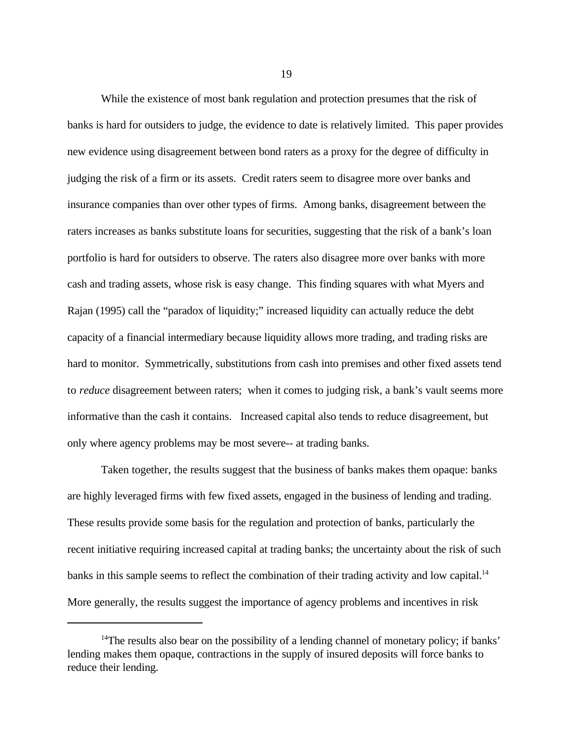While the existence of most bank regulation and protection presumes that the risk of banks is hard for outsiders to judge, the evidence to date is relatively limited. This paper provides new evidence using disagreement between bond raters as a proxy for the degree of difficulty in judging the risk of a firm or its assets. Credit raters seem to disagree more over banks and insurance companies than over other types of firms. Among banks, disagreement between the raters increases as banks substitute loans for securities, suggesting that the risk of a bank's loan portfolio is hard for outsiders to observe. The raters also disagree more over banks with more cash and trading assets, whose risk is easy change. This finding squares with what Myers and Rajan (1995) call the "paradox of liquidity;" increased liquidity can actually reduce the debt capacity of a financial intermediary because liquidity allows more trading, and trading risks are hard to monitor. Symmetrically, substitutions from cash into premises and other fixed assets tend to *reduce* disagreement between raters; when it comes to judging risk, a bank's vault seems more informative than the cash it contains. Increased capital also tends to reduce disagreement, but only where agency problems may be most severe-- at trading banks.

Taken together, the results suggest that the business of banks makes them opaque: banks are highly leveraged firms with few fixed assets, engaged in the business of lending and trading. These results provide some basis for the regulation and protection of banks, particularly the recent initiative requiring increased capital at trading banks; the uncertainty about the risk of such banks in this sample seems to reflect the combination of their trading activity and low capital.<sup>14</sup> More generally, the results suggest the importance of agency problems and incentives in risk

<sup>&</sup>lt;sup>14</sup>The results also bear on the possibility of a lending channel of monetary policy; if banks' lending makes them opaque, contractions in the supply of insured deposits will force banks to reduce their lending.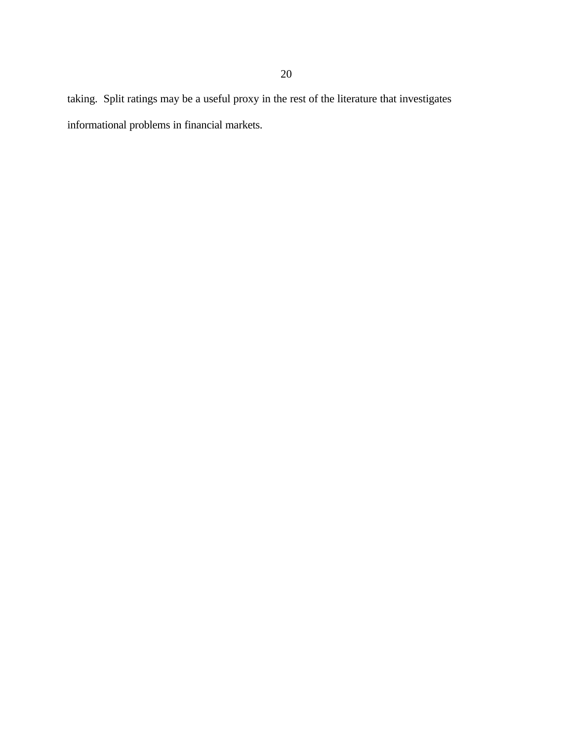taking. Split ratings may be a useful proxy in the rest of the literature that investigates informational problems in financial markets.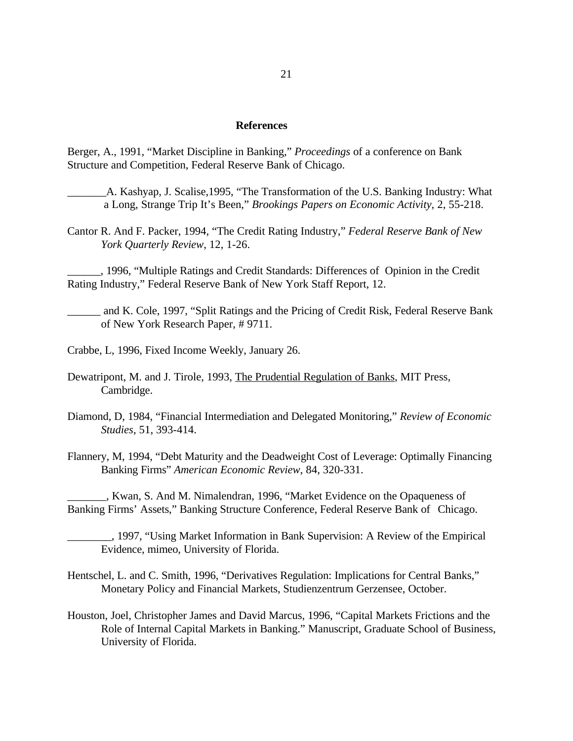#### **References**

Berger, A., 1991, "Market Discipline in Banking," *Proceedings* of a conference on Bank Structure and Competition, Federal Reserve Bank of Chicago.

- A. Kashyap, J. Scalise,1995, "The Transformation of the U.S. Banking Industry: What a Long, Strange Trip It's Been," *Brookings Papers on Economic Activity*, 2, 55-218.
- Cantor R. And F. Packer, 1994, "The Credit Rating Industry," *Federal Reserve Bank of New York Quarterly Review*, 12, 1-26.

\_\_\_\_\_\_, 1996, "Multiple Ratings and Credit Standards: Differences of Opinion in the Credit Rating Industry," Federal Reserve Bank of New York Staff Report, 12.

\_\_\_\_\_\_ and K. Cole, 1997, "Split Ratings and the Pricing of Credit Risk, Federal Reserve Bank of New York Research Paper, # 9711.

Crabbe, L, 1996, Fixed Income Weekly, January 26.

Dewatripont, M. and J. Tirole, 1993, The Prudential Regulation of Banks, MIT Press, Cambridge.

Diamond, D, 1984, "Financial Intermediation and Delegated Monitoring," *Review of Economic Studies*, 51, 393-414.

Flannery, M, 1994, "Debt Maturity and the Deadweight Cost of Leverage: Optimally Financing Banking Firms" *American Economic Review*, 84, 320-331.

\_\_\_\_\_\_\_, Kwan, S. And M. Nimalendran, 1996, "Market Evidence on the Opaqueness of Banking Firms' Assets," Banking Structure Conference, Federal Reserve Bank of Chicago.

\_\_\_\_\_\_\_\_, 1997, "Using Market Information in Bank Supervision: A Review of the Empirical Evidence, mimeo, University of Florida.

Hentschel, L. and C. Smith, 1996, "Derivatives Regulation: Implications for Central Banks," Monetary Policy and Financial Markets, Studienzentrum Gerzensee, October.

Houston, Joel, Christopher James and David Marcus, 1996, "Capital Markets Frictions and the Role of Internal Capital Markets in Banking." Manuscript, Graduate School of Business, University of Florida.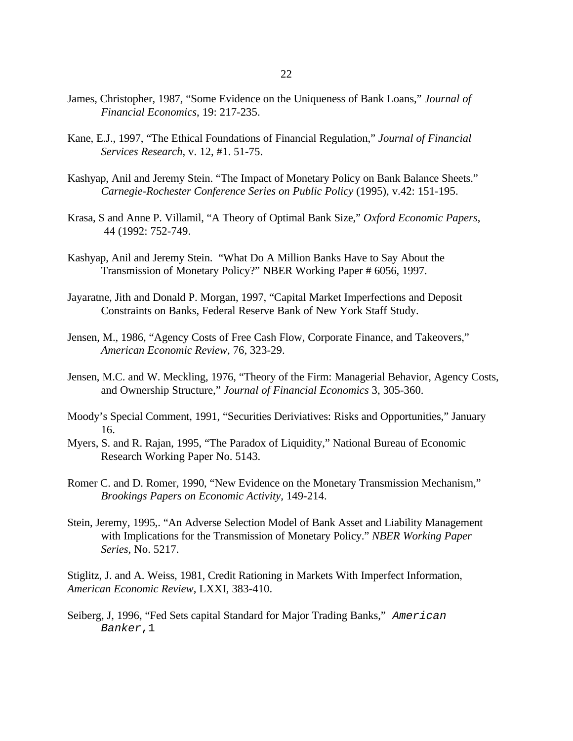- James, Christopher, 1987, "Some Evidence on the Uniqueness of Bank Loans," *Journal of Financial Economics*, 19: 217-235.
- Kane, E.J., 1997, "The Ethical Foundations of Financial Regulation," *Journal of Financial Services Research*, v. 12, #1. 51-75.
- Kashyap, Anil and Jeremy Stein. "The Impact of Monetary Policy on Bank Balance Sheets." *Carnegie-Rochester Conference Series on Public Policy* (1995), v.42: 151-195.
- Krasa, S and Anne P. Villamil, "A Theory of Optimal Bank Size," *Oxford Economic Papers*, 44 (1992: 752-749.
- Kashyap, Anil and Jeremy Stein. "What Do A Million Banks Have to Say About the Transmission of Monetary Policy?" NBER Working Paper # 6056, 1997.
- Jayaratne, Jith and Donald P. Morgan, 1997, "Capital Market Imperfections and Deposit Constraints on Banks, Federal Reserve Bank of New York Staff Study.
- Jensen, M., 1986, "Agency Costs of Free Cash Flow, Corporate Finance, and Takeovers," *American Economic Review*, 76, 323-29.
- Jensen, M.C. and W. Meckling, 1976, "Theory of the Firm: Managerial Behavior, Agency Costs, and Ownership Structure," *Journal of Financial Economics* 3, 305-360.
- Moody's Special Comment, 1991, "Securities Deriviatives: Risks and Opportunities," January 16.
- Myers, S. and R. Rajan, 1995, "The Paradox of Liquidity," National Bureau of Economic Research Working Paper No. 5143.
- Romer C. and D. Romer, 1990, "New Evidence on the Monetary Transmission Mechanism," *Brookings Papers on Economic Activity,* 149-214.
- Stein, Jeremy, 1995,. "An Adverse Selection Model of Bank Asset and Liability Management with Implications for the Transmission of Monetary Policy." *NBER Working Paper Series*, No. 5217.

Stiglitz, J. and A. Weiss, 1981, Credit Rationing in Markets With Imperfect Information, *American Economic Review*, LXXI, 383-410.

Seiberg, J, 1996, "Fed Sets capital Standard for Major Trading Banks," *American Banker*,1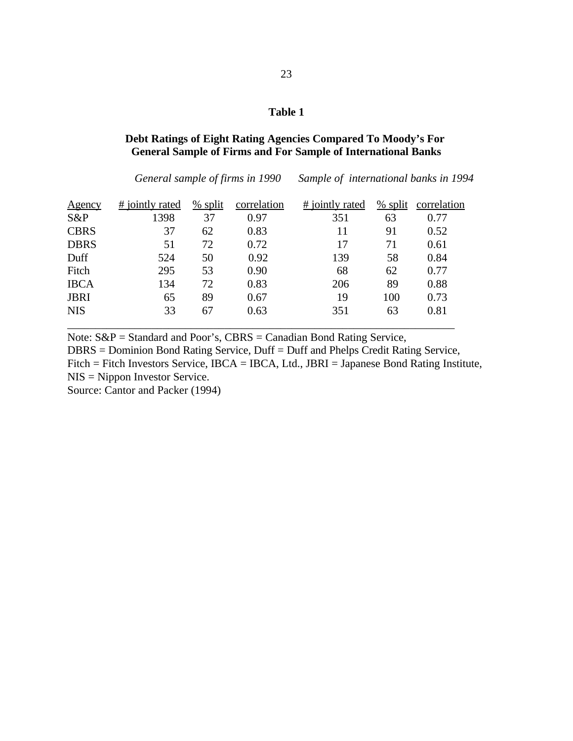## **Debt Ratings of Eight Rating Agencies Compared To Moody's For General Sample of Firms and For Sample of International Banks**

*General sample of firms in 1990 Sample of international banks in 1994*

| <u>Agency</u> | # jointly rated | $%$ split | correlation | # jointly rated | $%$ split | correlation |
|---------------|-----------------|-----------|-------------|-----------------|-----------|-------------|
| S&P           | 1398            | 37        | 0.97        | 351             | 63        | 0.77        |
| <b>CBRS</b>   | 37              | 62        | 0.83        | 11              | 91        | 0.52        |
| <b>DBRS</b>   | 51              | 72        | 0.72        | 17              | 71        | 0.61        |
| Duff          | 524             | 50        | 0.92        | 139             | 58        | 0.84        |
| Fitch         | 295             | 53        | 0.90        | 68              | 62        | 0.77        |
| <b>IBCA</b>   | 134             | 72        | 0.83        | 206             | 89        | 0.88        |
| <b>JBRI</b>   | 65              | 89        | 0.67        | 19              | 100       | 0.73        |
| <b>NIS</b>    | 33              | 67        | 0.63        | 351             | 63        | 0.81        |
|               |                 |           |             |                 |           |             |

Note: S&P = Standard and Poor's, CBRS = Canadian Bond Rating Service, DBRS = Dominion Bond Rating Service, Duff = Duff and Phelps Credit Rating Service, Fitch = Fitch Investors Service, IBCA = IBCA, Ltd., JBRI = Japanese Bond Rating Institute, NIS = Nippon Investor Service.

Source: Cantor and Packer (1994)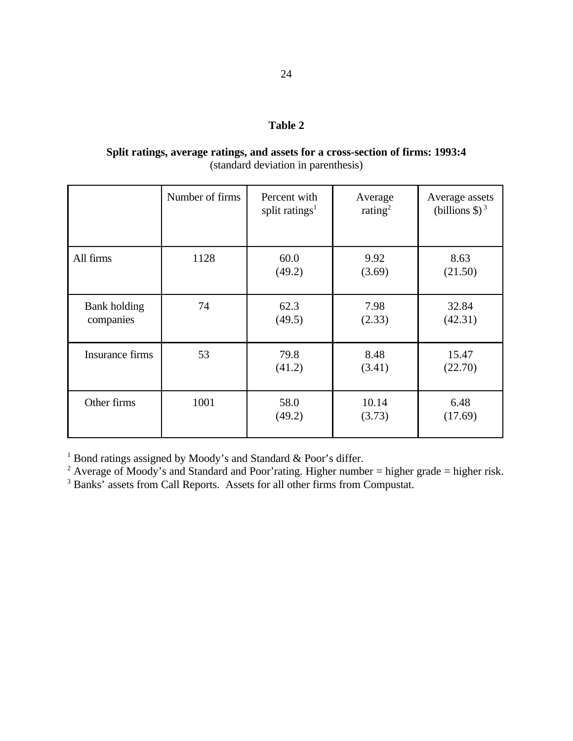# **Split ratings, average ratings, and assets for a cross-section of firms: 1993:4** (standard deviation in parenthesis)

|                                  | Number of firms | Percent with<br>split ratings <sup>1</sup> | Average<br>rating <sup>2</sup> | Average assets<br>(billions $\$\$ ) <sup>3</sup> |
|----------------------------------|-----------------|--------------------------------------------|--------------------------------|--------------------------------------------------|
| All firms                        | 1128            | 60.0<br>(49.2)                             | 9.92<br>(3.69)                 | 8.63<br>(21.50)                                  |
| <b>Bank</b> holding<br>companies | 74              | 62.3<br>(49.5)                             | 7.98<br>(2.33)                 | 32.84<br>(42.31)                                 |
| Insurance firms                  | 53              | 79.8<br>(41.2)                             | 8.48<br>(3.41)                 | 15.47<br>(22.70)                                 |
| Other firms                      | 1001            | 58.0<br>(49.2)                             | 10.14<br>(3.73)                | 6.48<br>(17.69)                                  |

 $1$  Bond ratings assigned by Moody's and Standard & Poor's differ.

<sup>2</sup> Average of Moody's and Standard and Poor'rating. Higher number = higher grade = higher risk.

<sup>3</sup> Banks' assets from Call Reports. Assets for all other firms from Compustat.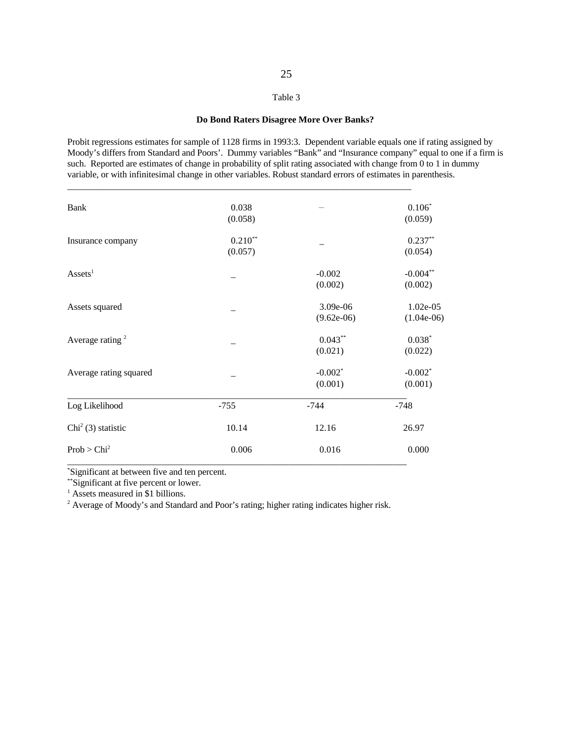#### **Do Bond Raters Disagree More Over Banks?**

Probit regressions estimates for sample of 1128 firms in 1993:3. Dependent variable equals one if rating assigned by Moody's differs from Standard and Poors'. Dummy variables "Bank" and "Insurance company" equal to one if a firm is such. Reported are estimates of change in probability of split rating associated with change from 0 to 1 in dummy variable, or with infinitesimal change in other variables. Robust standard errors of estimates in parenthesis.

| Prob > Chi <sup>2</sup>     | 0.006     | 0.016        | 0.000        |
|-----------------------------|-----------|--------------|--------------|
| $Chi2$ (3) statistic        | 10.14     | 12.16        | 26.97        |
| Log Likelihood              | $-755$    | $-744$       | $-748$       |
|                             |           | (0.001)      | (0.001)      |
| Average rating squared      |           | $-0.002*$    | $-0.002*$    |
|                             |           | (0.021)      | (0.022)      |
| Average rating <sup>2</sup> |           | $0.043**$    | $0.038*$     |
|                             |           | $(9.62e-06)$ | $(1.04e-06)$ |
| Assets squared              |           | 3.09e-06     | $1.02e-05$   |
|                             |           | (0.002)      | (0.002)      |
| $\text{Assets}^1$           |           | $-0.002$     | $-0.004**$   |
|                             | (0.057)   |              | (0.054)      |
| Insurance company           | $0.210**$ |              | $0.237**$    |
|                             | (0.058)   |              | (0.059)      |
| <b>Bank</b>                 | 0.038     |              | $0.106*$     |

Significant at between five and ten percent. \*

\*\*Significant at five percent or lower.

 $<sup>1</sup>$  Assets measured in \$1 billions.</sup>

<sup>2</sup> Average of Moody's and Standard and Poor's rating; higher rating indicates higher risk.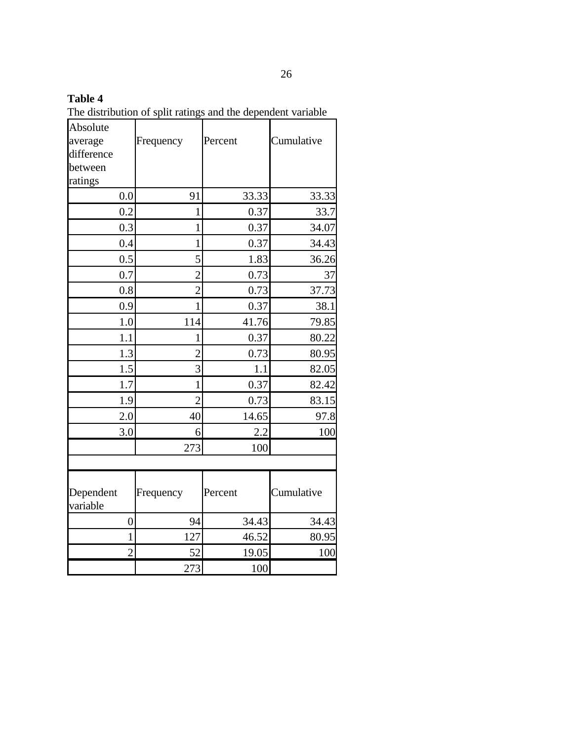The distribution of split ratings and the dependent variable

| Absolute<br>average<br>difference<br>between | Frequency       | Percent | Cumulative     |
|----------------------------------------------|-----------------|---------|----------------|
| ratings<br>0.0                               | 91              | 33.33   | 33.33          |
| 0.2                                          | 1               | 0.37    | 33.7           |
| 0.3                                          | 1               | 0.37    | 34.07          |
|                                              | 1               | 0.37    |                |
| 0.4<br>0.5                                   | 5               | 1.83    | 34.43<br>36.26 |
| 0.7                                          | $\overline{2}$  | 0.73    | 37             |
| 0.8                                          | $\overline{c}$  | 0.73    | 37.73          |
| 0.9                                          | $\mathbf 1$     | 0.37    | 38.1           |
| 1.0                                          | 114             | 41.76   | 79.85          |
| 1.1                                          | 1               | 0.37    | 80.22          |
| 1.3                                          | $\overline{2}$  | 0.73    | 80.95          |
| 1.5                                          | 3               | 1.1     | 82.05          |
| 1.7                                          | 1               | 0.37    | 82.42          |
| 1.9                                          | $\overline{2}$  | 0.73    | 83.15          |
| 2.0                                          | 40              | 14.65   | 97.8           |
| 3.0                                          | 6               | 2.2     | 100            |
|                                              | 273             | 100     |                |
| Dependent                                    | Frequency       | Percent | Cumulative     |
| variable                                     |                 |         |                |
| $\overline{0}$                               | 94              | 34.43   | 34.43          |
| $\mathbf 1$                                  | 127             | 46.52   | 80.95          |
| $\overline{2}$                               | $\overline{52}$ | 19.05   | 100            |
|                                              | 273             | 100     |                |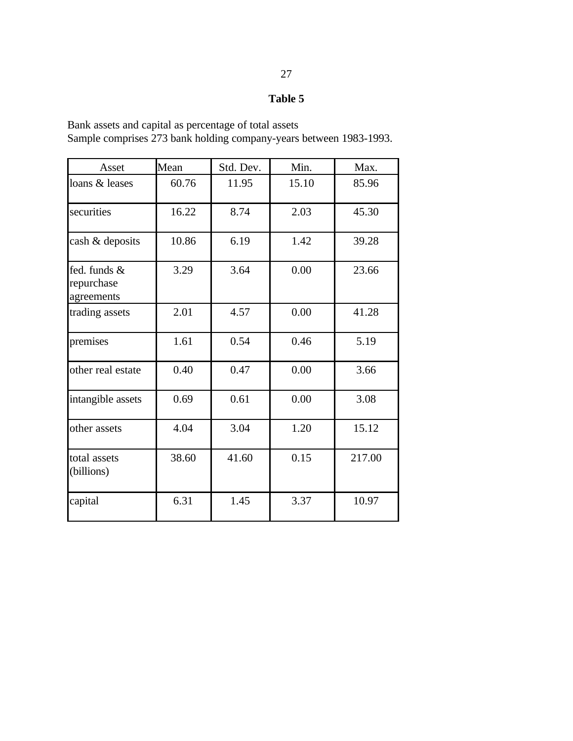Bank assets and capital as percentage of total assets Sample comprises 273 bank holding company-years between 1983-1993.

| Asset                                    | Mean  | Std. Dev. | Min.  | Max.   |
|------------------------------------------|-------|-----------|-------|--------|
| loans & leases                           | 60.76 | 11.95     | 15.10 | 85.96  |
| securities                               | 16.22 | 8.74      | 2.03  | 45.30  |
| cash & deposits                          | 10.86 | 6.19      | 1.42  | 39.28  |
| fed. funds &<br>repurchase<br>agreements | 3.29  | 3.64      | 0.00  | 23.66  |
| trading assets                           | 2.01  | 4.57      | 0.00  | 41.28  |
| premises                                 | 1.61  | 0.54      | 0.46  | 5.19   |
| other real estate                        | 0.40  | 0.47      | 0.00  | 3.66   |
| intangible assets                        | 0.69  | 0.61      | 0.00  | 3.08   |
| other assets                             | 4.04  | 3.04      | 1.20  | 15.12  |
| total assets<br>(billions)               | 38.60 | 41.60     | 0.15  | 217.00 |
| capital                                  | 6.31  | 1.45      | 3.37  | 10.97  |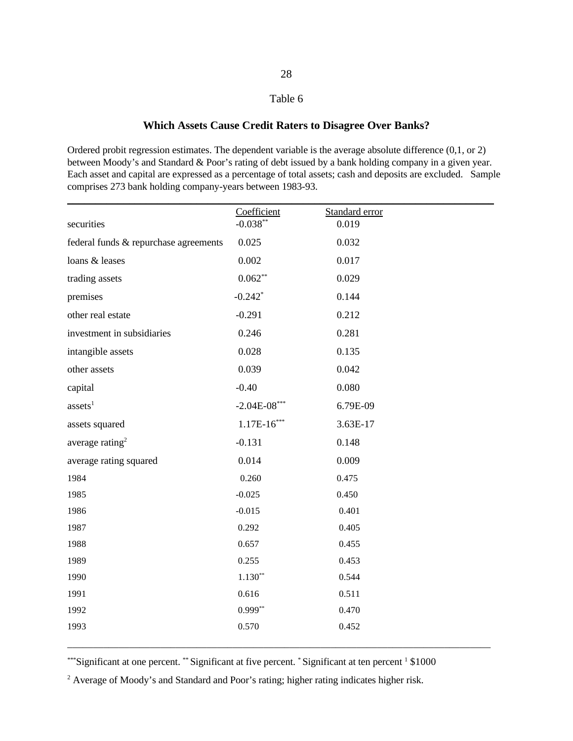# **Which Assets Cause Credit Raters to Disagree Over Banks?**

Ordered probit regression estimates. The dependent variable is the average absolute difference (0,1, or 2) between Moody's and Standard & Poor's rating of debt issued by a bank holding company in a given year. Each asset and capital are expressed as a percentage of total assets; cash and deposits are excluded. Sample comprises 273 bank holding company-years between 1983-93.

| securities                            | Coefficient<br>$-0.038**$ | Standard error<br>0.019 |  |
|---------------------------------------|---------------------------|-------------------------|--|
| federal funds & repurchase agreements | 0.025                     | 0.032                   |  |
| loans & leases                        | 0.002                     | 0.017                   |  |
| trading assets                        | $0.062**$                 | 0.029                   |  |
| premises                              | $-0.242$ <sup>*</sup>     | 0.144                   |  |
| other real estate                     | $-0.291$                  | 0.212                   |  |
| investment in subsidiaries            | 0.246                     | 0.281                   |  |
| intangible assets                     | 0.028                     | 0.135                   |  |
| other assets                          | 0.039                     | 0.042                   |  |
| capital                               | $-0.40$                   | 0.080                   |  |
| assets <sup>1</sup>                   | $-2.04E-08***$            | 6.79E-09                |  |
| assets squared                        | $1.17E-16***$             | 3.63E-17                |  |
| average rating <sup>2</sup>           | $-0.131$                  | 0.148                   |  |
| average rating squared                | 0.014                     | 0.009                   |  |
| 1984                                  | 0.260                     | 0.475                   |  |
| 1985                                  | $-0.025$                  | 0.450                   |  |
| 1986                                  | $-0.015$                  | 0.401                   |  |
| 1987                                  | 0.292                     | 0.405                   |  |
| 1988                                  | 0.657                     | 0.455                   |  |
| 1989                                  | 0.255                     | 0.453                   |  |
| 1990                                  | $1.130**$                 | 0.544                   |  |
| 1991                                  | 0.616                     | 0.511                   |  |
| 1992                                  | $0.999**$                 | 0.470                   |  |
| 1993                                  | 0.570                     | 0.452                   |  |
|                                       |                           |                         |  |

 $***$ Significant at one percent.  $**$  Significant at five percent.  $*$  Significant at ten percent  $1\$ \$1000

<sup>2</sup> Average of Moody's and Standard and Poor's rating; higher rating indicates higher risk.